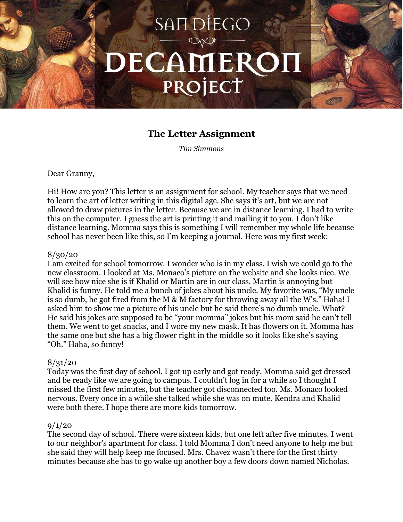# SAIT DIEGO DECAMERON PROJECT

# **The Letter Assignment**

*Tim Simmons*

#### Dear Granny,

Hi! How are you? This letter is an assignment for school. My teacher says that we need to learn the art of letter writing in this digital age. She says it's art, but we are not allowed to draw pictures in the letter. Because we are in distance learning, I had to write this on the computer. I guess the art is printing it and mailing it to you. I don't like distance learning. Momma says this is something I will remember my whole life because school has never been like this, so I'm keeping a journal. Here was my first week:

#### 8/30/20

I am excited for school tomorrow. I wonder who is in my class. I wish we could go to the new classroom. I looked at Ms. Monaco's picture on the website and she looks nice. We will see how nice she is if Khalid or Martin are in our class. Martin is annoying but Khalid is funny. He told me a bunch of jokes about his uncle. My favorite was, "My uncle is so dumb, he got fired from the M & M factory for throwing away all the W's." Haha! I asked him to show me a picture of his uncle but he said there's no dumb uncle. What? He said his jokes are supposed to be "your momma" jokes but his mom said he can't tell them. We went to get snacks, and I wore my new mask. It has flowers on it. Momma has the same one but she has a big flower right in the middle so it looks like she's saying "Oh." Haha, so funny!

# $8/31/20$

Today was the first day of school. I got up early and got ready. Momma said get dressed and be ready like we are going to campus. I couldn't log in for a while so I thought I missed the first few minutes, but the teacher got disconnected too. Ms. Monaco looked nervous. Every once in a while she talked while she was on mute. Kendra and Khalid were both there. I hope there are more kids tomorrow.

# $9/1/20$

The second day of school. There were sixteen kids, but one left after five minutes. I went to our neighbor's apartment for class. I told Momma I don't need anyone to help me but she said they will help keep me focused. Mrs. Chavez wasn't there for the first thirty minutes because she has to go wake up another boy a few doors down named Nicholas.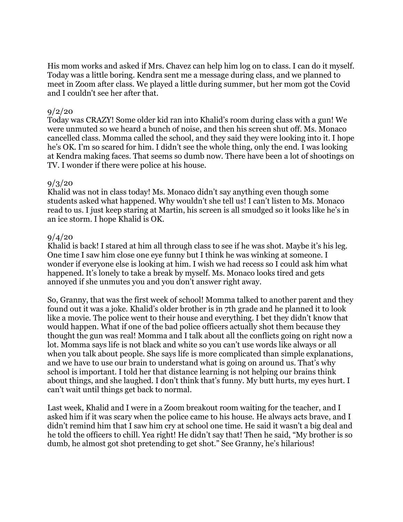His mom works and asked if Mrs. Chavez can help him log on to class. I can do it myself. Today was a little boring. Kendra sent me a message during class, and we planned to meet in Zoom after class. We played a little during summer, but her mom got the Covid and I couldn't see her after that.

# $9/2/20$

Today was CRAZY! Some older kid ran into Khalid's room during class with a gun! We were unmuted so we heard a bunch of noise, and then his screen shut off. Ms. Monaco cancelled class. Momma called the school, and they said they were looking into it. I hope he's OK. I'm so scared for him. I didn't see the whole thing, only the end. I was looking at Kendra making faces. That seems so dumb now. There have been a lot of shootings on TV. I wonder if there were police at his house.

# 9/3/20

Khalid was not in class today! Ms. Monaco didn't say anything even though some students asked what happened. Why wouldn't she tell us! I can't listen to Ms. Monaco read to us. I just keep staring at Martin, his screen is all smudged so it looks like he's in an ice storm. I hope Khalid is OK.

#### 9/4/20

Khalid is back! I stared at him all through class to see if he was shot. Maybe it's his leg. One time I saw him close one eye funny but I think he was winking at someone. I wonder if everyone else is looking at him. I wish we had recess so I could ask him what happened. It's lonely to take a break by myself. Ms. Monaco looks tired and gets annoyed if she unmutes you and you don't answer right away.

So, Granny, that was the first week of school! Momma talked to another parent and they found out it was a joke. Khalid's older brother is in 7th grade and he planned it to look like a movie. The police went to their house and everything. I bet they didn't know that would happen. What if one of the bad police officers actually shot them because they thought the gun was real! Momma and I talk about all the conflicts going on right now a lot. Momma says life is not black and white so you can't use words like always or all when you talk about people. She says life is more complicated than simple explanations, and we have to use our brain to understand what is going on around us. That's why school is important. I told her that distance learning is not helping our brains think about things, and she laughed. I don't think that's funny. My butt hurts, my eyes hurt. I can't wait until things get back to normal.

Last week, Khalid and I were in a Zoom breakout room waiting for the teacher, and I asked him if it was scary when the police came to his house. He always acts brave, and I didn't remind him that I saw him cry at school one time. He said it wasn't a big deal and he told the officers to chill. Yea right! He didn't say that! Then he said, "My brother is so dumb, he almost got shot pretending to get shot." See Granny, he's hilarious!